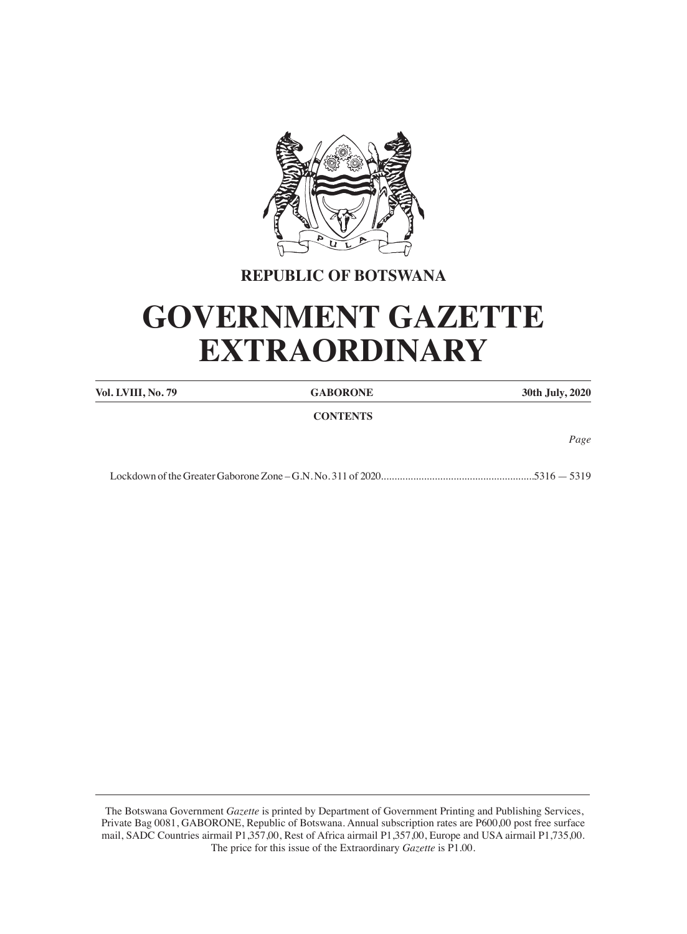

# **REPUBLIC OF BOTSWANA**

# **GOVERNMENT GAZETTE EXTRAORDINARY**

| Vol. LVIII, No. 79 | <b>GABORONE</b> | 30th July, 2020 |
|--------------------|-----------------|-----------------|
|                    | <b>CONTENTS</b> |                 |
|                    |                 | Page            |
|                    |                 | $.5316 - 5319$  |

 The Botswana Government *Gazette* is printed by Department of Government Printing and Publishing Services, Private Bag 0081, GABORONE, Republic of Botswana. Annual subscription rates are P600,00 post free surface mail, SADC Countries airmail P1,357,00, Rest of Africa airmail P1,357,00, Europe and USA airmail P1,735,00. The price for this issue of the Extraordinary *Gazette* is P1.00.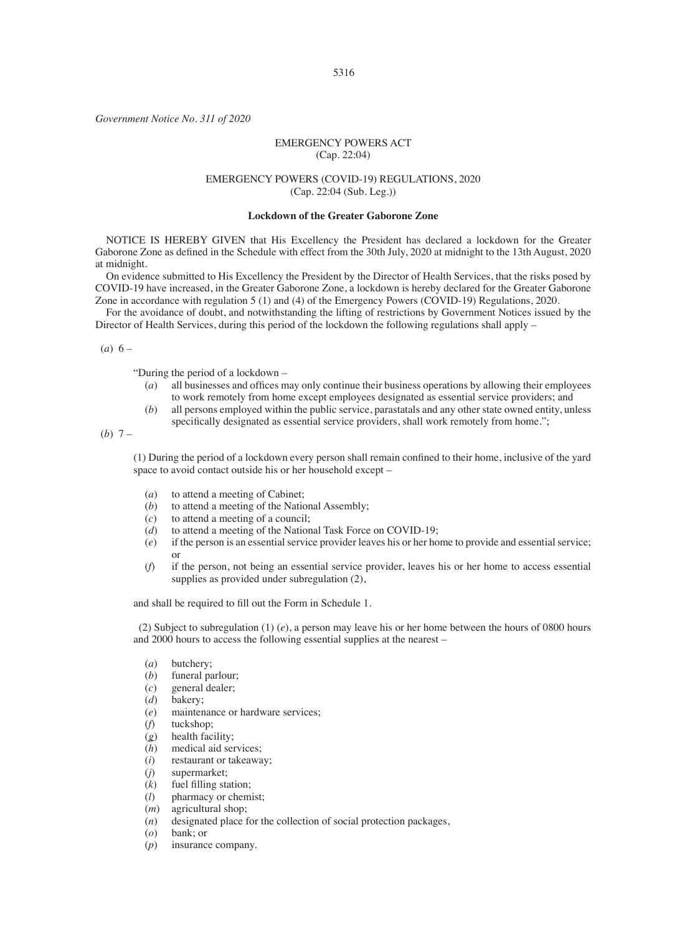*Government Notice No. 311 of 2020*

## EMERGENCY POWERS ACT (Cap. 22:04)

## EMERGENCY POWERS (COVID-19) REGULATIONS, 2020 (Cap. 22:04 (Sub. Leg.))

#### **Lockdown of the Greater Gaborone Zone**

NOTICE IS HEREBY GIVEN that His Excellency the President has declared a lockdown for the Greater Gaborone Zone as defined in the Schedule with effect from the 30th July, 2020 at midnight to the 13th August, 2020 at midnight.

On evidence submitted to His Excellency the President by the Director of Health Services, that the risks posed by COVID-19 have increased, in the Greater Gaborone Zone, a lockdown is hereby declared for the Greater Gaborone Zone in accordance with regulation 5 (1) and (4) of the Emergency Powers (COVID-19) Regulations, 2020.

For the avoidance of doubt, and notwithstanding the lifting of restrictions by Government Notices issued by the Director of Health Services, during this period of the lockdown the following regulations shall apply –

#### $(a) 6 -$

"During the period of a lockdown –

- (*a*) all businesses and offices may only continue their business operations by allowing their employees to work remotely from home except employees designated as essential service providers; and
- (*b*) all persons employed within the public service, parastatals and any other state owned entity, unless specifically designated as essential service providers, shall work remotely from home.";

(*b*) 7 –

(1) During the period of a lockdown every person shall remain confined to their home, inclusive of the yard space to avoid contact outside his or her household except –

- (*a*) to attend a meeting of Cabinet;
- (*b*) to attend a meeting of the National Assembly;
- $(c)$  to attend a meeting of a council;
- (*d*) to attend a meeting of the National Task Force on COVID-19;<br>(*e*) if the person is an essential service provider leaves his or her ho
- (*e*) if the person is an essential service provider leaves his or her home to provide and essential service; or
- (*f*) if the person, not being an essential service provider, leaves his or her home to access essential supplies as provided under subregulation  $(2)$ ,

and shall be required to fill out the Form in Schedule 1.

(2) Subject to subregulation (1) (*e*), a person may leave his or her home between the hours of 0800 hours and 2000 hours to access the following essential supplies at the nearest –

- (*a*) butchery;
- (*b*) funeral parlour;
- (*c*) general dealer;
- (*d*) bakery;
- (*e*) maintenance or hardware services;
- tuckshop;
- (g) health facility;<br>(h) medical aid ser
- (*h*) medical aid services;<br>(*i*) restaurant or takeawa
- (*i*) restaurant or takeaway;<br>(*j*) supermarket;
- (*j*) supermarket;<br>(*k*) fuel filling sta
- (*k*) fuel filling station;
- pharmacy or chemist;
- (*m*) agricultural shop;
- (*n*) designated place for the collection of social protection packages, (*o*) bank; or
- (*o*) bank; or
- (*p*) insurance company.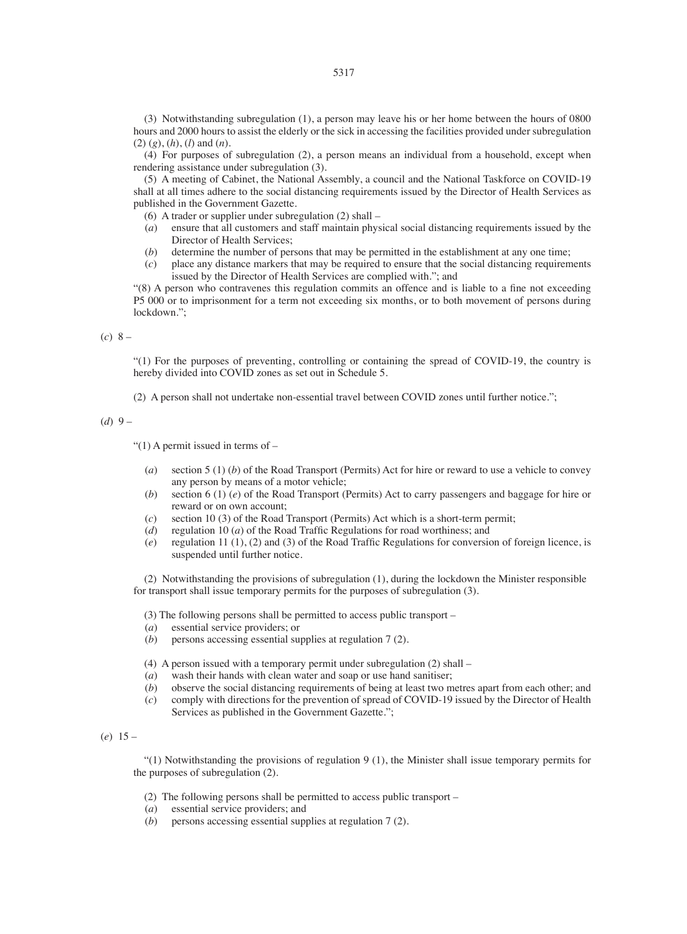(3) Notwithstanding subregulation (1), a person may leave his or her home between the hours of 0800 hours and 2000 hours to assist the elderly or the sick in accessing the facilities provided under subregulation (2) (*g*), (*h*), (*l*) and (*n*).

(4) For purposes of subregulation (2), a person means an individual from a household, except when rendering assistance under subregulation (3).

(5) A meeting of Cabinet, the National Assembly, a council and the National Taskforce on COVID-19 shall at all times adhere to the social distancing requirements issued by the Director of Health Services as published in the Government Gazette.

(6) A trader or supplier under subregulation (2) shall –  $(a)$  ensure that all customers and staff maintain physical

- (*a*) ensure that all customers and staff maintain physical social distancing requirements issued by the Director of Health Services;
- (*b*) determine the number of persons that may be permitted in the establishment at any one time;  $(c)$  place any distance markers that may be required to ensure that the social distancing requirem
- (*c*) place any distance markers that may be required to ensure that the social distancing requirements issued by the Director of Health Services are complied with."; and

"(8) A person who contravenes this regulation commits an offence and is liable to a fine not exceeding P5 000 or to imprisonment for a term not exceeding six months, or to both movement of persons during lockdown.";

(*c*) 8 –

"(1) For the purposes of preventing, controlling or containing the spread of COVID-19, the country is hereby divided into COVID zones as set out in Schedule 5.

(2) A person shall not undertake non-essential travel between COVID zones until further notice.";

(*d*) 9 –

"(1) A permit issued in terms of  $-$ 

- (*a*) section 5 (1) (*b*) of the Road Transport (Permits) Act for hire or reward to use a vehicle to convey any person by means of a motor vehicle;
- (*b*) section 6 (1) (*e*) of the Road Transport (Permits) Act to carry passengers and baggage for hire or reward or on own account;
- (*c*) section 10 (3) of the Road Transport (Permits) Act which is a short-term permit; (*d*) regulation 10 (*a*) of the Road Traffic Regulations for road worthiness; and
- (*d*) regulation 10 (*a*) of the Road Traffic Regulations for road worthiness; and (*e*) regulation 11 (1). (2) and (3) of the Road Traffic Regulations for conversion
- regulation 11 (1), (2) and (3) of the Road Traffic Regulations for conversion of foreign licence, is suspended until further notice.

(2) Notwithstanding the provisions of subregulation (1), during the lockdown the Minister responsible for transport shall issue temporary permits for the purposes of subregulation (3).

(3) The following persons shall be permitted to access public transport –  $(a)$  essential service providers: or

- (*a*) essential service providers; or<br>(*b*) persons accessing essential surface
- persons accessing essential supplies at regulation 7 (2).

(4) A person issued with a temporary permit under subregulation (2) shall –

- (*a*) wash their hands with clean water and soap or use hand sanitiser;
- (*b*) observe the social distancing requirements of being at least two metres apart from each other; and (*c*) comply with directions for the prevention of spread of COVID-19 issued by the Director of Health
- comply with directions for the prevention of spread of COVID-19 issued by the Director of Health Services as published in the Government Gazette.";

(*e*) 15 –

"(1) Notwithstanding the provisions of regulation 9 (1), the Minister shall issue temporary permits for the purposes of subregulation (2).

- (2) The following persons shall be permitted to access public transport –
- (*a*) essential service providers; and
- $\overrightarrow{(b)}$  persons accessing essential supplies at regulation 7 (2).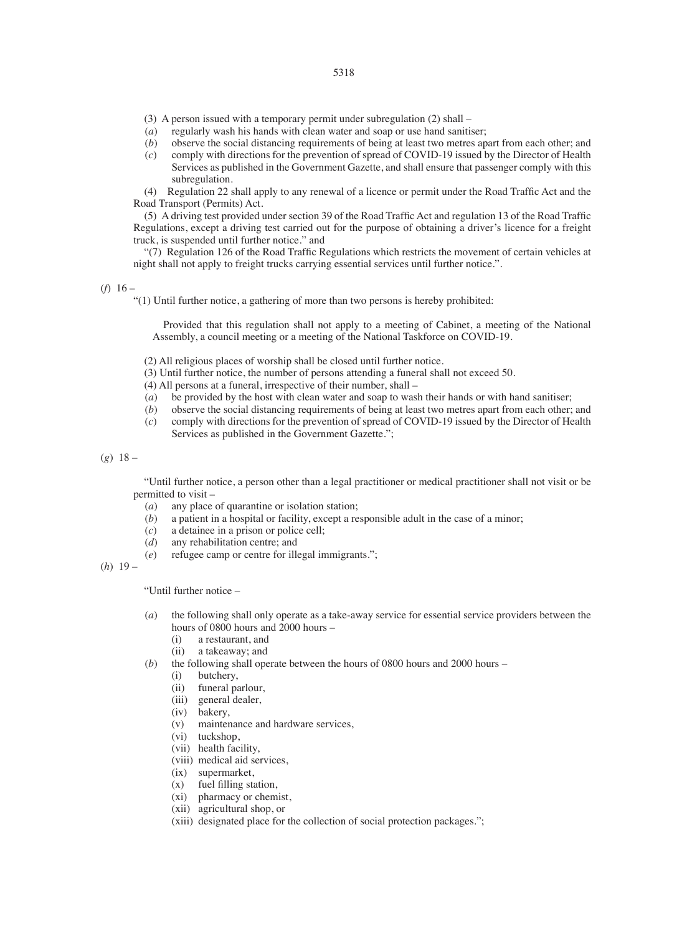- (3) A person issued with a temporary permit under subregulation (2) shall  $(a)$  regularly wash his hands with clean water and soan or use hand sanition
- (*a*) regularly wash his hands with clean water and soap or use hand sanitiser;<br>(*b*) observe the social distancing requirements of being at least two metres ap
- (*b*) observe the social distancing requirements of being at least two metres apart from each other; and (*c*) comply with directions for the prevention of spread of COVID-19 issued by the Director of Health
- (*c*) comply with directions for the prevention of spread of COVID-19 issued by the Director of Health Services as published in the Government Gazette, and shall ensure that passenger comply with this subregulation.

(4) Regulation 22 shall apply to any renewal of a licence or permit under the Road Traffic Act and the Road Transport (Permits) Act.

(5) A driving test provided under section 39 of the Road Traffic Act and regulation 13 of the Road Traffic Regulations, except a driving test carried out for the purpose of obtaining a driver's licence for a freight truck, is suspended until further notice." and

"(7) Regulation 126 of the Road Traffic Regulations which restricts the movement of certain vehicles at night shall not apply to freight trucks carrying essential services until further notice.".

 $(f)$  16 –

"(1) Until further notice, a gathering of more than two persons is hereby prohibited:

Provided that this regulation shall not apply to a meeting of Cabinet, a meeting of the National Assembly, a council meeting or a meeting of the National Taskforce on COVID-19.

- (2) All religious places of worship shall be closed until further notice.
- (3) Until further notice, the number of persons attending a funeral shall not exceed 50.
- (4) All persons at a funeral, irrespective of their number, shall –
- (*a*) be provided by the host with clean water and soap to wash their hands or with hand sanitiser;
- (*b*) observe the social distancing requirements of being at least two metres apart from each other; and (*c*) comply with directions for the prevention of spread of COVID-19 issued by the Director of Health
- (*c*) comply with directions for the prevention of spread of COVID-19 issued by the Director of Health Services as published in the Government Gazette.";

(*g*) 18 –

"Until further notice, a person other than a legal practitioner or medical practitioner shall not visit or be permitted to visit –

- (*a*) any place of quarantine or isolation station;
- (*b*) a patient in a hospital or facility, except a responsible adult in the case of a minor;  $(c)$  a detainee in a prison or police cell:
- (*c*) a detainee in a prison or police cell;<br>(*d*) any rehabilitation centre: and
- (*d*) any rehabilitation centre; and<br>(*e*) refugee camp or centre for ill
- refugee camp or centre for illegal immigrants.";

(*h*) 19 –

"Until further notice –

- (*a*) the following shall only operate as a take-away service for essential service providers between the hours of 0800 hours and 2000 hours –<br>(i) a restaurant and
	- a restaurant, and
	- (ii) a takeaway; and
- (*b*) the following shall operate between the hours of 0800 hours and 2000 hours (i) hutchery
	- butchery.
	- (ii) funeral parlour,
	- (iii) general dealer,
	- (iv) bakery,
	- (v) maintenance and hardware services,
	- (vi) tuckshop,
	- (vii) health facility,
	- (viii) medical aid services,
	- (ix) supermarket,
	- (x) fuel filling station,
	- (xi) pharmacy or chemist,
	- (xii) agricultural shop, or
	- (xiii) designated place for the collection of social protection packages.";